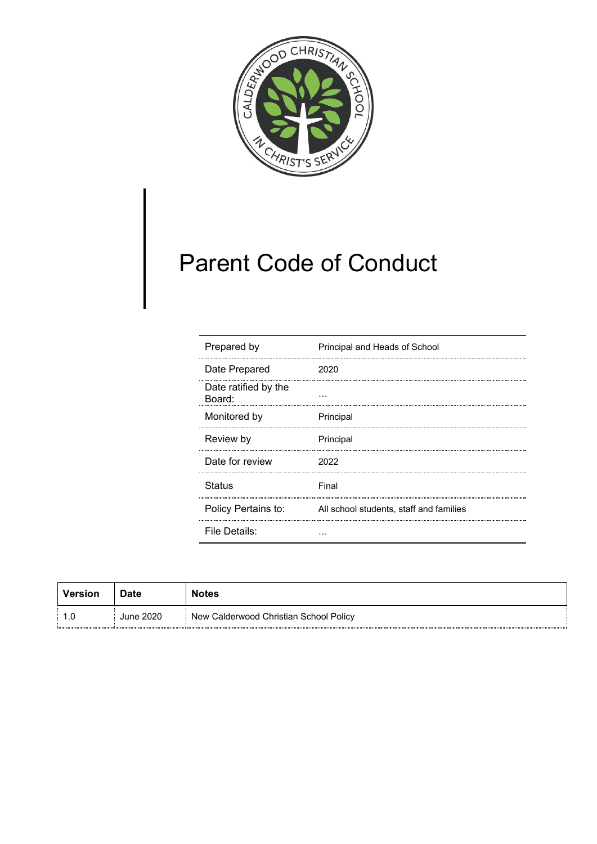

# Parent Code of Conduct

| Prepared by                    | Principal and Heads of School           |
|--------------------------------|-----------------------------------------|
| Date Prepared                  | 2020                                    |
| Date ratified by the<br>Board: |                                         |
| Monitored by                   | Principal                               |
| Review by                      | Principal                               |
| Date for review                | 2022                                    |
| <b>Status</b>                  | Final                                   |
| Policy Pertains to:            | All school students, staff and families |
| File Details:                  |                                         |

| Version | <b>Date</b> | <b>Notes</b>                           |
|---------|-------------|----------------------------------------|
| ∣ 1.0   | June 2020   | New Calderwood Christian School Policy |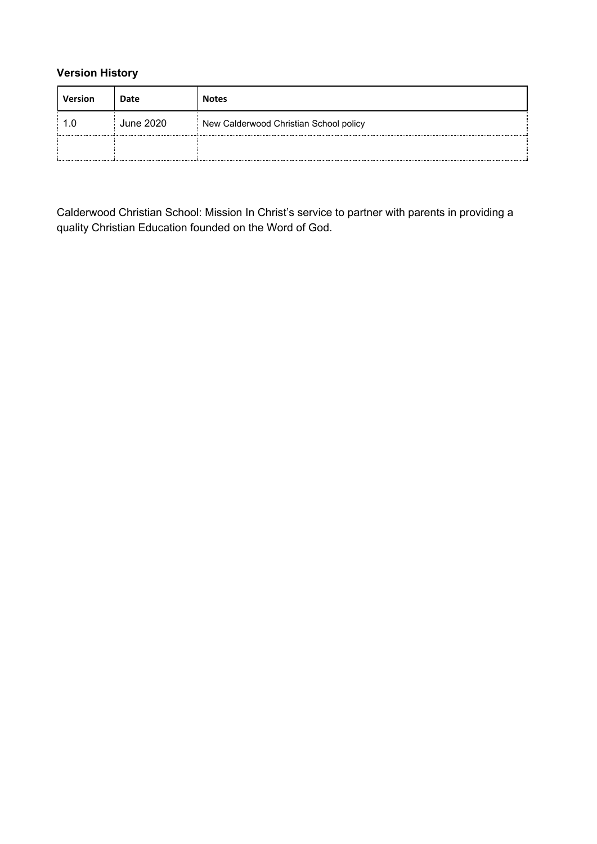## **Version History**

| <b>Version</b> | Date      | <b>Notes</b>                           |
|----------------|-----------|----------------------------------------|
| 1.0            | June 2020 | New Calderwood Christian School policy |
|                |           |                                        |

Calderwood Christian School: Mission In Christ's service to partner with parents in providing a quality Christian Education founded on the Word of God.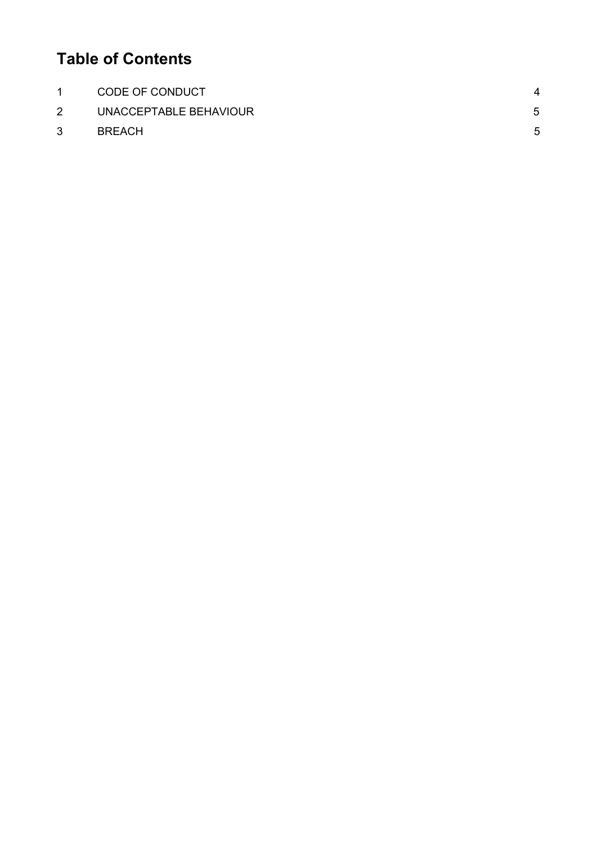# **Table of Contents**

| $\mathbf{1}$ | CODE OF CONDUCT        | Λ |
|--------------|------------------------|---|
| $2^{\circ}$  | UNACCEPTABLE BEHAVIOUR | 5 |
| 3            | <b>BREACH</b>          | 5 |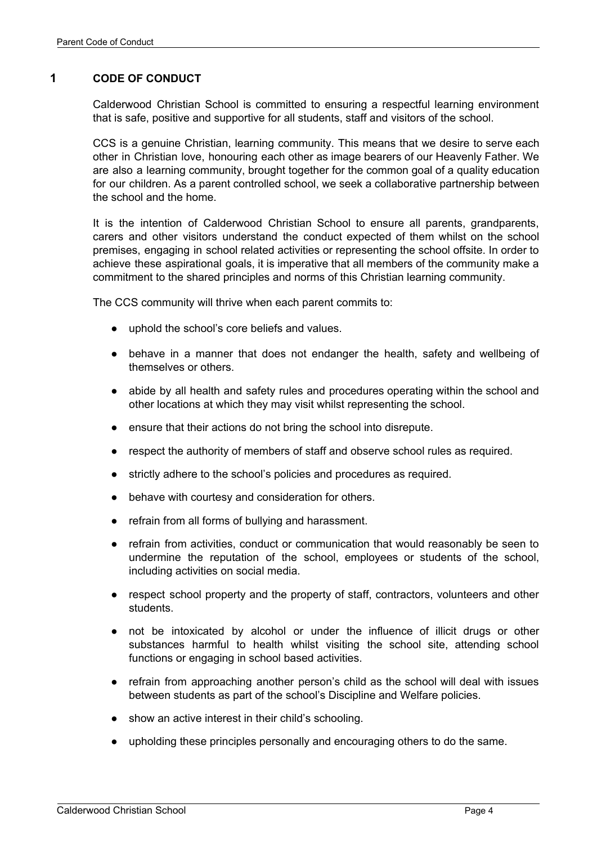#### <span id="page-3-0"></span>**1 CODE OF CONDUCT**

Calderwood Christian School is committed to ensuring a respectful learning environment that is safe, positive and supportive for all students, staff and visitors of the school.

CCS is a genuine Christian, learning community. This means that we desire to serve each other in Christian love, honouring each other as image bearers of our Heavenly Father. We are also a learning community, brought together for the common goal of a quality education for our children. As a parent controlled school, we seek a collaborative partnership between the school and the home.

It is the intention of Calderwood Christian School to ensure all parents, grandparents, carers and other visitors understand the conduct expected of them whilst on the school premises, engaging in school related activities or representing the school offsite. In order to achieve these aspirational goals, it is imperative that all members of the community make a commitment to the shared principles and norms of this Christian learning community.

The CCS community will thrive when each parent commits to:

- uphold the school's core beliefs and values.
- behave in a manner that does not endanger the health, safety and wellbeing of themselves or others.
- abide by all health and safety rules and procedures operating within the school and other locations at which they may visit whilst representing the school.
- ensure that their actions do not bring the school into disrepute.
- respect the authority of members of staff and observe school rules as required.
- strictly adhere to the school's policies and procedures as required.
- behave with courtesy and consideration for others.
- refrain from all forms of bullying and harassment.
- refrain from activities, conduct or communication that would reasonably be seen to undermine the reputation of the school, employees or students of the school, including activities on social media.
- respect school property and the property of staff, contractors, volunteers and other students.
- not be intoxicated by alcohol or under the influence of illicit drugs or other substances harmful to health whilst visiting the school site, attending school functions or engaging in school based activities.
- refrain from approaching another person's child as the school will deal with issues between students as part of the school's Discipline and Welfare policies.
- show an active interest in their child's schooling.
- upholding these principles personally and encouraging others to do the same.